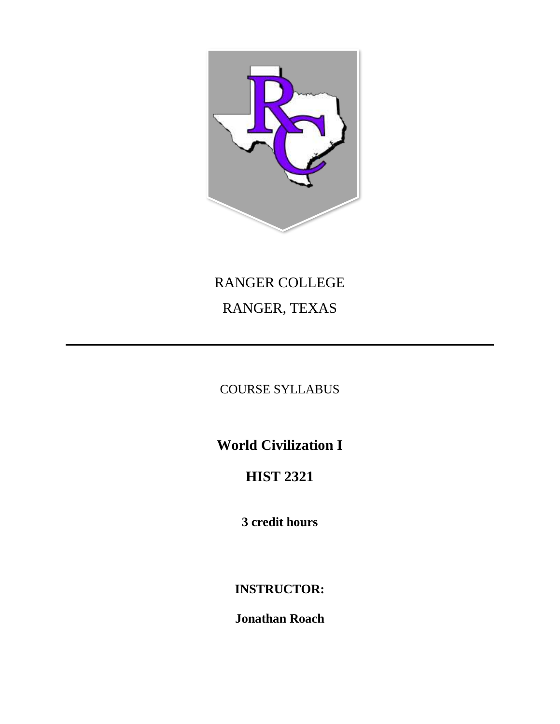

# RANGER COLLEGE RANGER, TEXAS

# COURSE SYLLABUS

**World Civilization I**

# **HIST 2321**

**3 credit hours**

**INSTRUCTOR:**

**Jonathan Roach**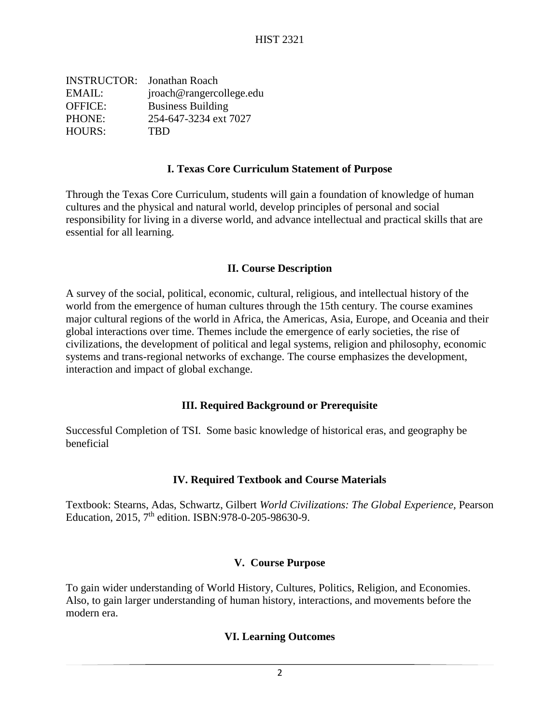INSTRUCTOR: Jonathan Roach EMAIL: jroach@rangercollege.edu OFFICE: Business Building PHONE: 254-647-3234 ext 7027 HOURS: TBD

#### **I. Texas Core Curriculum Statement of Purpose**

Through the Texas Core Curriculum, students will gain a foundation of knowledge of human cultures and the physical and natural world, develop principles of personal and social responsibility for living in a diverse world, and advance intellectual and practical skills that are essential for all learning.

#### **II. Course Description**

A survey of the social, political, economic, cultural, religious, and intellectual history of the world from the emergence of human cultures through the 15th century. The course examines major cultural regions of the world in Africa, the Americas, Asia, Europe, and Oceania and their global interactions over time. Themes include the emergence of early societies, the rise of civilizations, the development of political and legal systems, religion and philosophy, economic systems and trans-regional networks of exchange. The course emphasizes the development, interaction and impact of global exchange.

# **III. Required Background or Prerequisite**

Successful Completion of TSI. Some basic knowledge of historical eras, and geography be beneficial

# **IV. Required Textbook and Course Materials**

Textbook: Stearns, Adas, Schwartz, Gilbert *World Civilizations: The Global Experience,* Pearson Education, 2015, 7<sup>th</sup> edition. ISBN:978-0-205-98630-9.

#### **V. Course Purpose**

To gain wider understanding of World History, Cultures, Politics, Religion, and Economies. Also, to gain larger understanding of human history, interactions, and movements before the modern era.

# **VI. Learning Outcomes**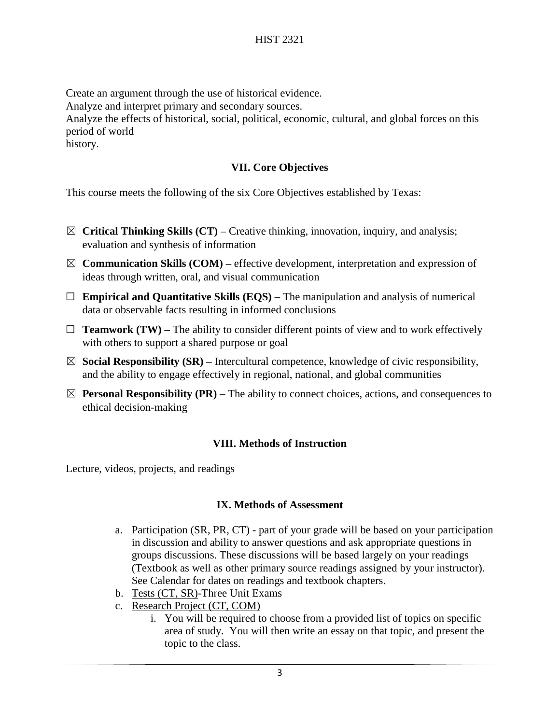Create an argument through the use of historical evidence. Analyze and interpret primary and secondary sources. Analyze the effects of historical, social, political, economic, cultural, and global forces on this period of world history.

### **VII. Core Objectives**

This course meets the following of the six Core Objectives established by Texas:

- $\boxtimes$  **Critical Thinking Skills (CT)** Creative thinking, innovation, inquiry, and analysis; evaluation and synthesis of information
- $\boxtimes$  **Communication Skills (COM)** effective development, interpretation and expression of ideas through written, oral, and visual communication
- ☐ **Empirical and Quantitative Skills (EQS) –** The manipulation and analysis of numerical data or observable facts resulting in informed conclusions
- $\Box$  **Teamwork (TW)** The ability to consider different points of view and to work effectively with others to support a shared purpose or goal
- $\boxtimes$  **Social Responsibility (SR)** Intercultural competence, knowledge of civic responsibility, and the ability to engage effectively in regional, national, and global communities
- $\boxtimes$  **Personal Responsibility (PR)** The ability to connect choices, actions, and consequences to ethical decision-making

# **VIII. Methods of Instruction**

Lecture, videos, projects, and readings

#### **IX. Methods of Assessment**

- a. Participation (SR, PR, CT) part of your grade will be based on your participation in discussion and ability to answer questions and ask appropriate questions in groups discussions. These discussions will be based largely on your readings (Textbook as well as other primary source readings assigned by your instructor). See Calendar for dates on readings and textbook chapters.
- b. Tests (CT, SR)-Three Unit Exams
- c. Research Project (CT, COM)
	- i. You will be required to choose from a provided list of topics on specific area of study. You will then write an essay on that topic, and present the topic to the class.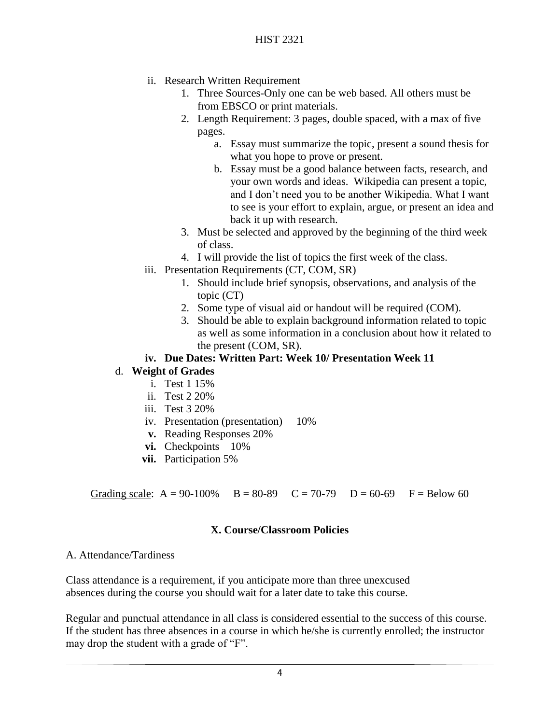- ii. Research Written Requirement
	- 1. Three Sources-Only one can be web based. All others must be from EBSCO or print materials.
	- 2. Length Requirement: 3 pages, double spaced, with a max of five pages.
		- a. Essay must summarize the topic, present a sound thesis for what you hope to prove or present.
		- b. Essay must be a good balance between facts, research, and your own words and ideas. Wikipedia can present a topic, and I don't need you to be another Wikipedia. What I want to see is your effort to explain, argue, or present an idea and back it up with research.
	- 3. Must be selected and approved by the beginning of the third week of class.
	- 4. I will provide the list of topics the first week of the class.
- iii. Presentation Requirements (CT, COM, SR)
	- 1. Should include brief synopsis, observations, and analysis of the topic (CT)
	- 2. Some type of visual aid or handout will be required (COM).
	- 3. Should be able to explain background information related to topic as well as some information in a conclusion about how it related to the present (COM, SR).

#### **iv. Due Dates: Written Part: Week 10/ Presentation Week 11**

# d. **Weight of Grades**

- i. Test 1 15%
- ii. Test 2 20%
- iii. Test 3 20%
- iv. Presentation (presentation) 10%
- **v.** Reading Responses 20%
- **vi.** Checkpoints 10%
- **vii.** Participation 5%

Grading scale:  $A = 90-100\%$  B = 80-89 C = 70-79 D = 60-69 F = Below 60

#### **X. Course/Classroom Policies**

#### A. Attendance/Tardiness

Class attendance is a requirement, if you anticipate more than three unexcused absences during the course you should wait for a later date to take this course.

Regular and punctual attendance in all class is considered essential to the success of this course. If the student has three absences in a course in which he/she is currently enrolled; the instructor may drop the student with a grade of "F".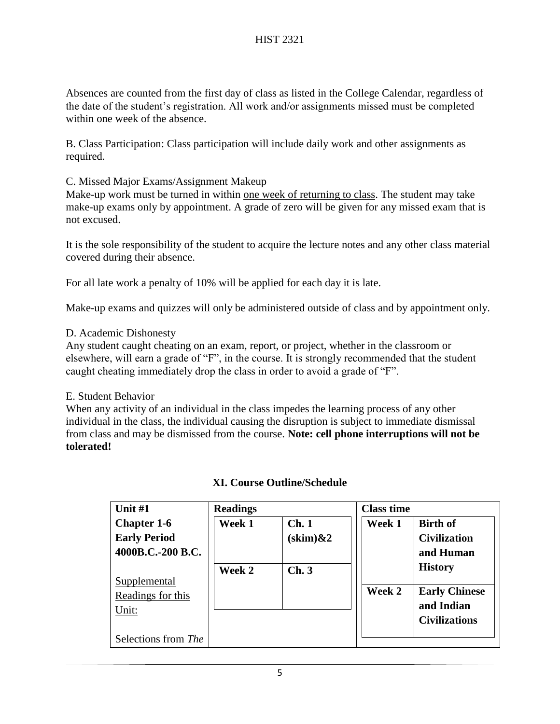Absences are counted from the first day of class as listed in the College Calendar, regardless of the date of the student's registration. All work and/or assignments missed must be completed within one week of the absence.

B. Class Participation: Class participation will include daily work and other assignments as required.

C. Missed Major Exams/Assignment Makeup

Make-up work must be turned in within one week of returning to class. The student may take make-up exams only by appointment. A grade of zero will be given for any missed exam that is not excused.

It is the sole responsibility of the student to acquire the lecture notes and any other class material covered during their absence.

For all late work a penalty of 10% will be applied for each day it is late.

Make-up exams and quizzes will only be administered outside of class and by appointment only.

# D. Academic Dishonesty

Any student caught cheating on an exam, report, or project, whether in the classroom or elsewhere, will earn a grade of "F", in the course. It is strongly recommended that the student caught cheating immediately drop the class in order to avoid a grade of "F".

# E. Student Behavior

When any activity of an individual in the class impedes the learning process of any other individual in the class, the individual causing the disruption is subject to immediate dismissal from class and may be dismissed from the course. **Note: cell phone interruptions will not be tolerated!**

| Unit $#1$           | <b>Readings</b> |                    | <b>Class time</b> |                      |
|---------------------|-----------------|--------------------|-------------------|----------------------|
| <b>Chapter 1-6</b>  | Week 1          | Ch.1               | Week 1            | <b>Birth of</b>      |
| <b>Early Period</b> |                 | $(\text{skim})\&2$ |                   | <b>Civilization</b>  |
| 4000B.C.-200 B.C.   |                 |                    |                   | and Human            |
|                     | Week 2          | Ch.3               |                   | <b>History</b>       |
| <b>Supplemental</b> |                 |                    |                   |                      |
| Readings for this   |                 |                    | Week 2            | <b>Early Chinese</b> |
| Unit:               |                 |                    |                   | and Indian           |
|                     |                 |                    |                   | <b>Civilizations</b> |
| Selections from The |                 |                    |                   |                      |

# **XI. Course Outline/Schedule**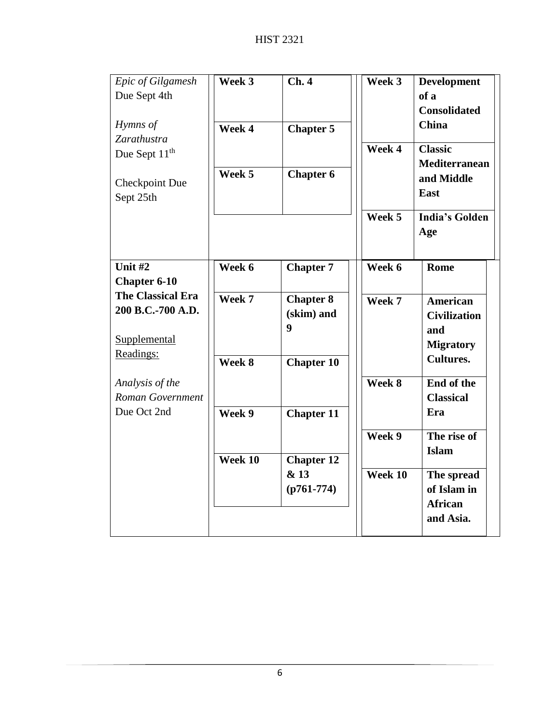| Epic of Gilgamesh<br>Due Sept 4th             | Week 3  | Ch.4              | Week 3  | <b>Development</b><br>of a<br><b>Consolidated</b> |
|-----------------------------------------------|---------|-------------------|---------|---------------------------------------------------|
| Hymns of<br>Zarathustra                       | Week 4  | <b>Chapter 5</b>  | Week 4  | <b>China</b><br><b>Classic</b>                    |
| Due Sept 11 <sup>th</sup>                     |         |                   |         | Mediterranean                                     |
| <b>Checkpoint Due</b><br>Sept 25th            | Week 5  | <b>Chapter 6</b>  |         | and Middle<br>East                                |
|                                               |         |                   | Week 5  | <b>India's Golden</b><br>Age                      |
| Unit #2                                       | Week 6  | <b>Chapter 7</b>  | Week 6  | Rome                                              |
| <b>Chapter 6-10</b>                           |         |                   |         |                                                   |
| <b>The Classical Era</b><br>200 B.C.-700 A.D. | Week 7  | <b>Chapter 8</b>  | Week 7  | American                                          |
|                                               |         | (skim) and        |         | <b>Civilization</b>                               |
| Supplemental                                  |         | 9                 |         | and                                               |
| Readings:                                     |         |                   |         | <b>Migratory</b>                                  |
|                                               | Week 8  | <b>Chapter 10</b> |         | <b>Cultures.</b>                                  |
| Analysis of the                               |         |                   | Week 8  | End of the                                        |
| Roman Government                              |         |                   |         | <b>Classical</b>                                  |
| Due Oct 2nd                                   | Week 9  | <b>Chapter 11</b> |         | Era                                               |
|                                               |         |                   | Week 9  | The rise of                                       |
|                                               | Week 10 | <b>Chapter 12</b> |         | <b>Islam</b>                                      |
|                                               |         | & 13              | Week 10 | The spread                                        |
|                                               |         | $(p761-774)$      |         | of Islam in                                       |
|                                               |         |                   |         | <b>African</b>                                    |
|                                               |         |                   |         | and Asia.                                         |